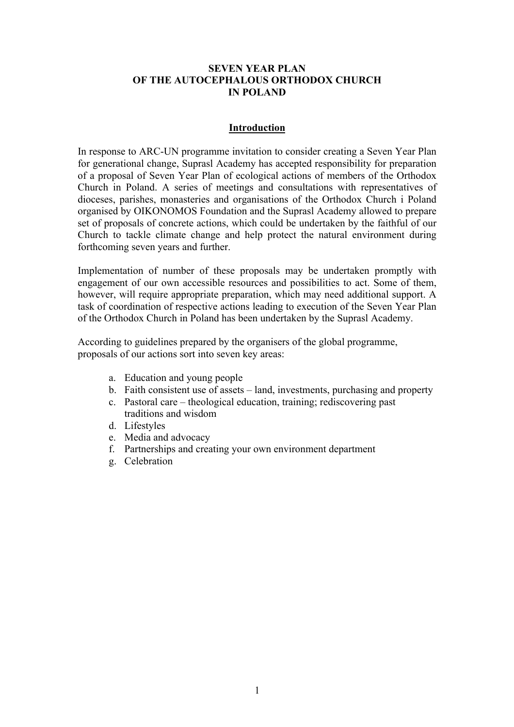### **SEVEN YEAR PLAN OF THE AUTOCEPHALOUS ORTHODOX CHURCH IN POLAND**

### **Introduction**

In response to ARC-UN programme invitation to consider creating a Seven Year Plan for generational change, Suprasl Academy has accepted responsibility for preparation of a proposal of Seven Year Plan of ecological actions of members of the Orthodox Church in Poland. A series of meetings and consultations with representatives of dioceses, parishes, monasteries and organisations of the Orthodox Church i Poland organised by OIKONOMOS Foundation and the Suprasl Academy allowed to prepare set of proposals of concrete actions, which could be undertaken by the faithful of our Church to tackle climate change and help protect the natural environment during forthcoming seven years and further.

Implementation of number of these proposals may be undertaken promptly with engagement of our own accessible resources and possibilities to act. Some of them, however, will require appropriate preparation, which may need additional support. A task of coordination of respective actions leading to execution of the Seven Year Plan of the Orthodox Church in Poland has been undertaken by the Suprasl Academy.

According to guidelines prepared by the organisers of the global programme, proposals of our actions sort into seven key areas:

- a. Education and young people
- b. Faith consistent use of assets land, investments, purchasing and property
- c. Pastoral care theological education, training; rediscovering past traditions and wisdom
- d. Lifestyles
- e. Media and advocacy
- f. Partnerships and creating your own environment department
- g. Celebration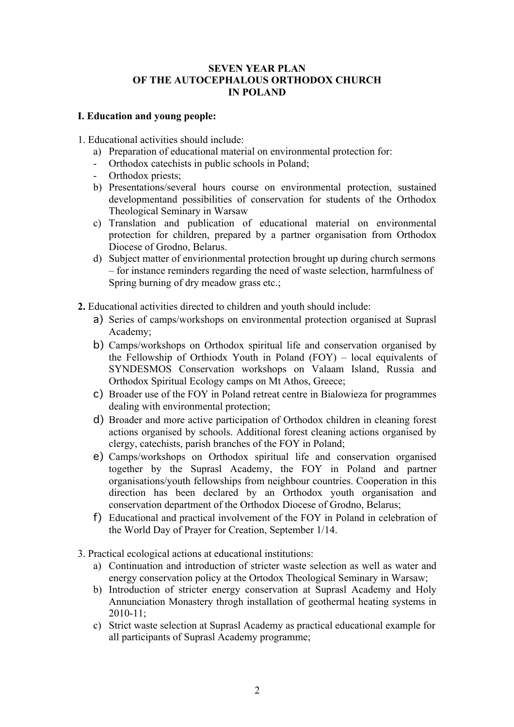## **SEVEN YEAR PLAN OF THE AUTOCEPHALOUS ORTHODOX CHURCH IN POLAND**

## **I. Education and young people:**

1. Educational activities should include:

- a) Preparation of educational material on environmental protection for:
- Orthodox catechists in public schools in Poland;
- Orthodox priests;
- b) Presentations/several hours course on environmental protection, sustained developmentand possibilities of conservation for students of the Orthodox Theological Seminary in Warsaw
- c) Translation and publication of educational material on environmental protection for children, prepared by a partner organisation from Orthodox Diocese of Grodno, Belarus.
- d) Subject matter of envirionmental protection brought up during church sermons – for instance reminders regarding the need of waste selection, harmfulness of Spring burning of dry meadow grass etc.;
- **2.** Educational activities directed to children and youth should include:
	- a) Series of camps/workshops on environmental protection organised at Suprasl Academy;
	- b) Camps/workshops on Orthodox spiritual life and conservation organised by the Fellowship of Orthiodx Youth in Poland (FOY) – local equivalents of SYNDESMOS Conservation workshops on Valaam Island, Russia and Orthodox Spiritual Ecology camps on Mt Athos, Greece;
	- c) Broader use of the FOY in Poland retreat centre in Bialowieza for programmes dealing with environmental protection;
	- d) Broader and more active participation of Orthodox children in cleaning forest actions organised by schools. Additional forest cleaning actions organised by clergy, catechists, parish branches of the FOY in Poland;
	- e) Camps/workshops on Orthodox spiritual life and conservation organised together by the Suprasl Academy, the FOY in Poland and partner organisations/youth fellowships from neighbour countries. Cooperation in this direction has been declared by an Orthodox youth organisation and conservation department of the Orthodox Diocese of Grodno, Belarus;
	- f) Educational and practical involvement of the FOY in Poland in celebration of the World Day of Prayer for Creation, September 1/14.
- 3. Practical ecological actions at educational institutions:
	- a) Continuation and introduction of stricter waste selection as well as water and energy conservation policy at the Ortodox Theological Seminary in Warsaw;
	- b) Introduction of stricter energy conservation at Suprasl Academy and Holy Annunciation Monastery throgh installation of geothermal heating systems in 2010-11;
	- c) Strict waste selection at Suprasl Academy as practical educational example for all participants of Suprasl Academy programme;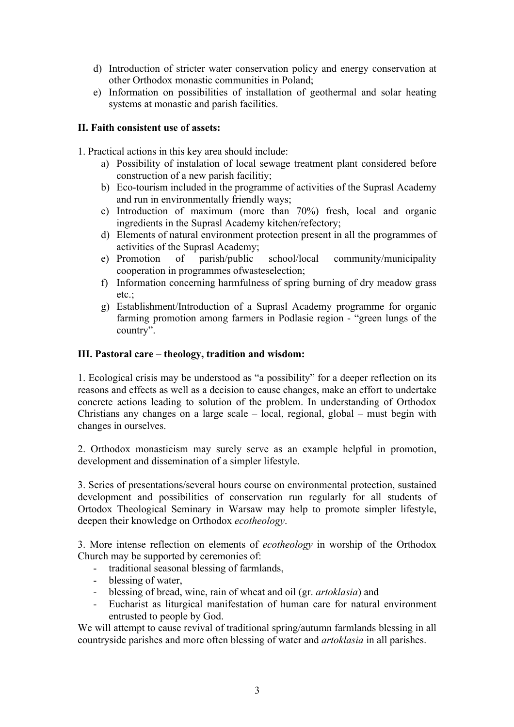- d) Introduction of stricter water conservation policy and energy conservation at other Orthodox monastic communities in Poland;
- e) Information on possibilities of installation of geothermal and solar heating systems at monastic and parish facilities.

## **II. Faith consistent use of assets:**

1. Practical actions in this key area should include:

- a) Possibility of instalation of local sewage treatment plant considered before construction of a new parish facilitiy;
- b) Eco-tourism included in the programme of activities of the Suprasl Academy and run in environmentally friendly ways;
- c) Introduction of maximum (more than 70%) fresh, local and organic ingredients in the Suprasl Academy kitchen/refectory;
- d) Elements of natural environment protection present in all the programmes of activities of the Suprasl Academy;
- e) Promotion of parish/public school/local community/municipality cooperation in programmes ofwasteselection;
- f) Information concerning harmfulness of spring burning of dry meadow grass etc.;
- g) Establishment/Introduction of a Suprasl Academy programme for organic farming promotion among farmers in Podlasie region - "green lungs of the country".

### **III. Pastoral care – theology, tradition and wisdom:**

1. Ecological crisis may be understood as "a possibility" for a deeper reflection on its reasons and effects as well as a decision to cause changes, make an effort to undertake concrete actions leading to solution of the problem. In understanding of Orthodox Christians any changes on a large scale – local, regional, global – must begin with changes in ourselves.

2. Orthodox monasticism may surely serve as an example helpful in promotion, development and dissemination of a simpler lifestyle.

3. Series of presentations/several hours course on environmental protection, sustained development and possibilities of conservation run regularly for all students of Ortodox Theological Seminary in Warsaw may help to promote simpler lifestyle, deepen their knowledge on Orthodox *ecotheology*.

3. More intense reflection on elements of *ecotheology* in worship of the Orthodox Church may be supported by ceremonies of:

- traditional seasonal blessing of farmlands,
- blessing of water,
- blessing of bread, wine, rain of wheat and oil (gr. *artoklasia*) and
- Eucharist as liturgical manifestation of human care for natural environment entrusted to people by God.

We will attempt to cause revival of traditional spring/autumn farmlands blessing in all countryside parishes and more often blessing of water and *artoklasia* in all parishes.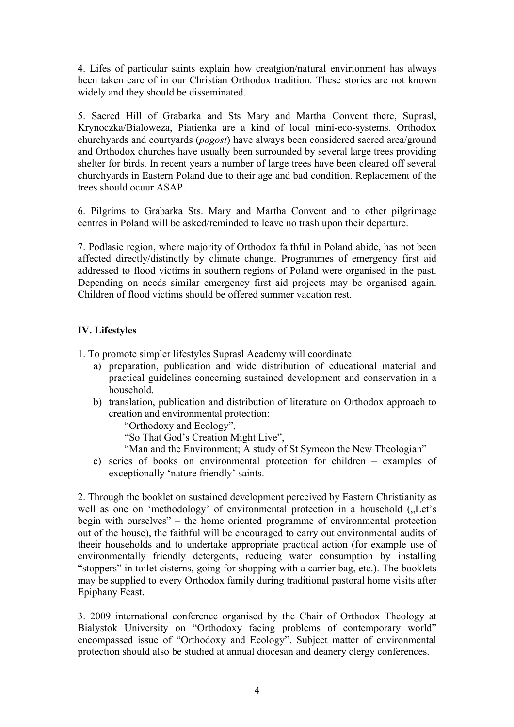4. Lifes of particular saints explain how creatgion/natural envirionment has always been taken care of in our Christian Orthodox tradition. These stories are not known widely and they should be disseminated.

5. Sacred Hill of Grabarka and Sts Mary and Martha Convent there, Suprasl, Krynoczka/Bialoweza, Piatienka are a kind of local mini-eco-systems. Orthodox churchyards and courtyards (*pogost*) have always been considered sacred area/ground and Orthodox churches have usually been surrounded by several large trees providing shelter for birds. In recent years a number of large trees have been cleared off several churchyards in Eastern Poland due to their age and bad condition. Replacement of the trees should ocuur ASAP.

6. Pilgrims to Grabarka Sts. Mary and Martha Convent and to other pilgrimage centres in Poland will be asked/reminded to leave no trash upon their departure.

7. Podlasie region, where majority of Orthodox faithful in Poland abide, has not been affected directly/distinctly by climate change. Programmes of emergency first aid addressed to flood victims in southern regions of Poland were organised in the past. Depending on needs similar emergency first aid projects may be organised again. Children of flood victims should be offered summer vacation rest.

# **IV. Lifestyles**

1. To promote simpler lifestyles Suprasl Academy will coordinate:

- a) preparation, publication and wide distribution of educational material and practical guidelines concerning sustained development and conservation in a household.
- b) translation, publication and distribution of literature on Orthodox approach to creation and environmental protection:

"Orthodoxy and Ecology",

"So That God's Creation Might Live",

- "Man and the Environment; A study of St Symeon the New Theologian"
- c) series of books on environmental protection for children examples of exceptionally 'nature friendly' saints.

2. Through the booklet on sustained development perceived by Eastern Christianity as well as one on 'methodology' of environmental protection in a household ("Let's begin with ourselves" – the home oriented programme of environmental protection out of the house), the faithful will be encouraged to carry out environmental audits of theeir households and to undertake appropriate practical action (for example use of environmentally friendly detergents, reducing water consumption by installing "stoppers" in toilet cisterns, going for shopping with a carrier bag, etc.). The booklets may be supplied to every Orthodox family during traditional pastoral home visits after Epiphany Feast.

3. 2009 international conference organised by the Chair of Orthodox Theology at Bialystok University on "Orthodoxy facing problems of contemporary world" encompassed issue of "Orthodoxy and Ecology". Subject matter of environmental protection should also be studied at annual diocesan and deanery clergy conferences.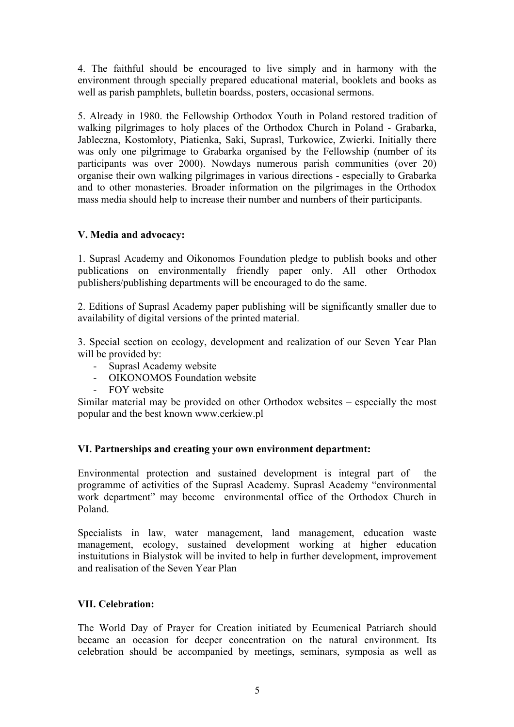4. The faithful should be encouraged to live simply and in harmony with the environment through specially prepared educational material, booklets and books as well as parish pamphlets, bulletin boardss, posters, occasional sermons.

5. Already in 1980. the Fellowship Orthodox Youth in Poland restored tradition of walking pilgrimages to holy places of the Orthodox Church in Poland - Grabarka, Jableczna, Kostomłoty, Piatienka, Saki, Suprasl, Turkowice, Zwierki. Initially there was only one pilgrimage to Grabarka organised by the Fellowship (number of its participants was over 2000). Nowdays numerous parish communities (over 20) organise their own walking pilgrimages in various directions - especially to Grabarka and to other monasteries. Broader information on the pilgrimages in the Orthodox mass media should help to increase their number and numbers of their participants.

## **V. Media and advocacy:**

1. Suprasl Academy and Oikonomos Foundation pledge to publish books and other publications on environmentally friendly paper only. All other Orthodox publishers/publishing departments will be encouraged to do the same.

2. Editions of Suprasl Academy paper publishing will be significantly smaller due to availability of digital versions of the printed material.

3. Special section on ecology, development and realization of our Seven Year Plan will be provided by:

- Suprasl Academy website
- OIKONOMOS Foundation website
- FOY website

Similar material may be provided on other Orthodox websites – especially the most popular and the best known www.cerkiew.pl

### **VI. Partnerships and creating your own environment department:**

Environmental protection and sustained development is integral part of the programme of activities of the Suprasl Academy. Suprasl Academy "environmental work department" may become environmental office of the Orthodox Church in Poland.

Specialists in law, water management, land management, education waste management, ecology, sustained development working at higher education instuitutions in Bialystok will be invited to help in further development, improvement and realisation of the Seven Year Plan

# **VII. Celebration:**

The World Day of Prayer for Creation initiated by Ecumenical Patriarch should became an occasion for deeper concentration on the natural environment. Its celebration should be accompanied by meetings, seminars, symposia as well as